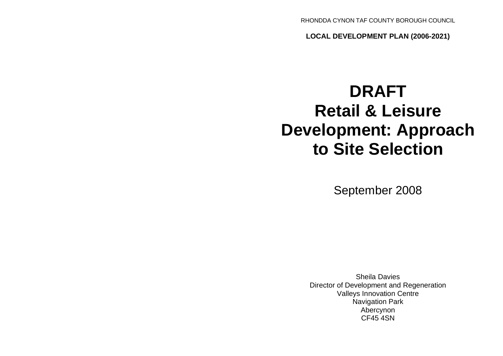RHONDDA CYNON TAF COUNTY BOROUGH COUNCIL

**LOCAL DEVELOPMENT PLAN (2006-2021)**

# **DRAFT Retail & Leisure Development: Approach to Site Selection**

September 2008

Sheila Davies Director of Development and Regeneration Valleys Innovation Centre Navigation Park Abercynon CF45 4SN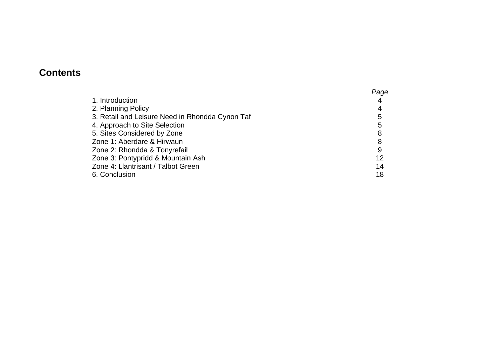# **Contents**

|                                                 | Page |
|-------------------------------------------------|------|
| 1. Introduction                                 |      |
| 2. Planning Policy                              | 4    |
| 3. Retail and Leisure Need in Rhondda Cynon Taf | 5    |
| 4. Approach to Site Selection                   | 5    |
| 5. Sites Considered by Zone                     | 8    |
| Zone 1: Aberdare & Hirwaun                      | 8    |
| Zone 2: Rhondda & Tonyrefail                    | 9    |
| Zone 3: Pontypridd & Mountain Ash               | 12   |
| Zone 4: Llantrisant / Talbot Green              | 14   |
| 6. Conclusion                                   | 18   |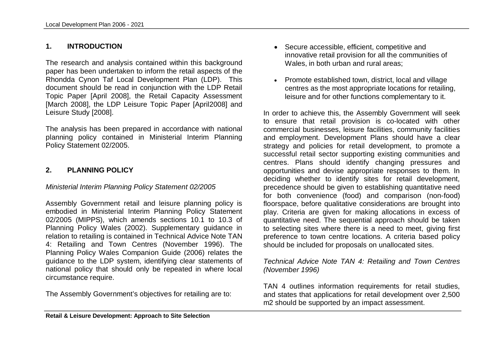#### **1. INTRODUCTION**

The research and analysis contained within this background paper has been undertaken to inform the retail aspects of the Rhondda Cynon Taf Local Development Plan (LDP). This document should be read in conjunction with the LDP Retail Topic Paper [April 2008], the Retail Capacity Assessment [March 2008], the LDP Leisure Topic Paper [April2008] and Leisure Study [2008].

The analysis has been prepared in accordance with national planning policy contained in Ministerial Interim Planning Policy Statement 02/2005.

#### **2. PLANNING POLICY**

#### *Ministerial Interim Planning Policy Statement 02/2005*

Assembly Government retail and leisure planning policy is embodied in Ministerial Interim Planning Policy Statement 02/2005 (MIPPS), which amends sections 10.1 to 10.3 of Planning Policy Wales (2002). Supplementary guidance in relation to retailing is contained in Technical Advice Note TAN 4: Retailing and Town Centres (November 1996). The Planning Policy Wales Companion Guide (2006) relates the guidance to the LDP system, identifying clear statements of national policy that should only be repeated in where local circumstance require.

The Assembly Government's objectives for retailing are to:

- Secure accessible, efficient, competitive and innovative retail provision for all the communities of Wales, in both urban and rural areas;
- Promote established town, district, local and village centres as the most appropriate locations for retailing, leisure and for other functions complementary to it.

In order to achieve this, the Assembly Government will seek to ensure that retail provision is co-located with other commercial businesses, leisure facilities, community facilities and employment. Development Plans should have a clear strategy and policies for retail development, to promote a successful retail sector supporting existing communities and centres. Plans should identify changing pressures and opportunities and devise appropriate responses to them. In deciding whether to identify sites for retail development, precedence should be given to establishing quantitative need for both convenience (food) and comparison (non-food) floorspace, before qualitative considerations are brought into play. Criteria are given for making allocations in excess of quantitative need. The sequential approach should be taken to selecting sites where there is a need to meet, giving first preference to town centre locations. A criteria based policy should be included for proposals on unallocated sites.

#### *Technical Advice Note TAN 4: Retailing and Town Centres (November 1996)*

TAN 4 outlines information requirements for retail studies, and states that applications for retail development over 2,500 m2 should be supported by an impact assessment.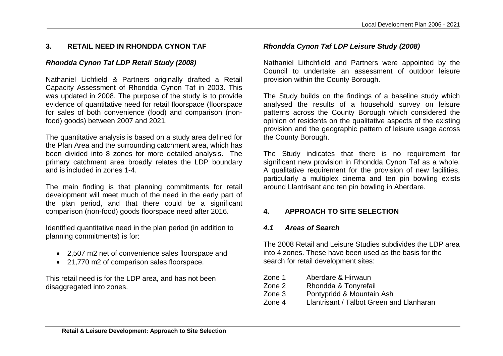# **3. RETAIL NEED IN RHONDDA CYNON TAF**

# *Rhondda Cynon Taf LDP Retail Study (2008)*

Nathaniel Lichfield & Partners originally drafted a Retail Capacity Assessment of Rhondda Cynon Taf in 2003. This was updated in 2008. The purpose of the study is to provide evidence of quantitative need for retail floorspace (floorspace for sales of both convenience (food) and comparison (nonfood) goods) between 2007 and 2021.

The quantitative analysis is based on a study area defined for the Plan Area and the surrounding catchment area, which has been divided into 8 zones for more detailed analysis. The primary catchment area broadly relates the LDP boundary and is included in zones 1-4.

The main finding is that planning commitments for retail development will meet much of the need in the early part of the plan period, and that there could be a significant comparison (non-food) goods floorspace need after 2016.

Identified quantitative need in the plan period (in addition to planning commitments) is for:

- 2,507 m2 net of convenience sales floorspace and
- 21,770 m2 of comparison sales floorspace.

This retail need is for the LDP area, and has not been disaggregated into zones.

# *Rhondda Cynon Taf LDP Leisure Study (2008)*

Nathaniel Lithchfield and Partners were appointed by the Council to undertake an assessment of outdoor leisure provision within the County Borough.

The Study builds on the findings of a baseline study which analysed the results of a household survey on leisure patterns across the County Borough which considered the opinion of residents on the qualitative aspects of the existing provision and the geographic pattern of leisure usage across the County Borough.

The Study indicates that there is no requirement for significant new provision in Rhondda Cynon Taf as a whole. A qualitative requirement for the provision of new facilities, particularly a multiplex cinema and ten pin bowling exists around Llantrisant and ten pin bowling in Aberdare.

# **4. APPROACH TO SITE SELECTION**

# *4.1 Areas of Search*

The 2008 Retail and Leisure Studies subdivides the LDP area into 4 zones. These have been used as the basis for the search for retail development sites:

| Zone 1 | Aberdare & Hirwaun                       |
|--------|------------------------------------------|
| Zone 2 | Rhondda & Tonyrefail                     |
| Zone 3 | Pontypridd & Mountain Ash                |
| Zone 4 | Llantrisant / Talbot Green and Llanharan |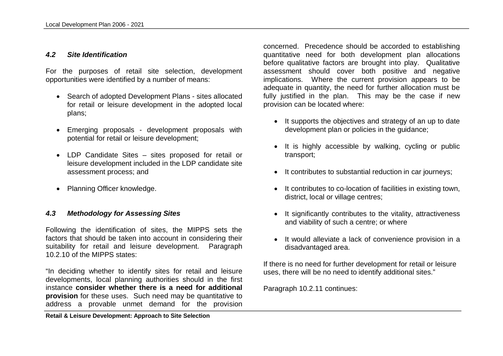#### *4.2 Site Identification*

For the purposes of retail site selection, development opportunities were identified by a number of means:

- Search of adopted Development Plans sites allocated for retail or leisure development in the adopted local plans;
- Emerging proposals development proposals with potential for retail or leisure development;
- LDP Candidate Sites sites proposed for retail or leisure development included in the LDP candidate site assessment process; and
- Planning Officer knowledge.

#### *4.3 Methodology for Assessing Sites*

Following the identification of sites, the MIPPS sets the factors that should be taken into account in considering their suitability for retail and leisure development. Paragraph 10.2.10 of the MIPPS states:

"In deciding whether to identify sites for retail and leisure developments, local planning authorities should in the first instance **consider whether there is a need for additional provision** for these uses. Such need may be quantitative to address a provable unmet demand for the provision

**Retail & Leisure Development: Approach to Site Selection**

concerned. Precedence should be accorded to establishing quantitative need for both development plan allocations before qualitative factors are brought into play. Qualitative assessment should cover both positive and negative implications. Where the current provision appears to be adequate in quantity, the need for further allocation must be fully justified in the plan. This may be the case if new provision can be located where:

- It supports the objectives and strategy of an up to date development plan or policies in the guidance;
- It is highly accessible by walking, cycling or public transport;
- It contributes to substantial reduction in car journeys;
- It contributes to co-location of facilities in existing town, district, local or village centres;
- It significantly contributes to the vitality, attractiveness and viability of such a centre; or where
- It would alleviate a lack of convenience provision in a disadvantaged area.

If there is no need for further development for retail or leisure uses, there will be no need to identify additional sites."

Paragraph 10.2.11 continues: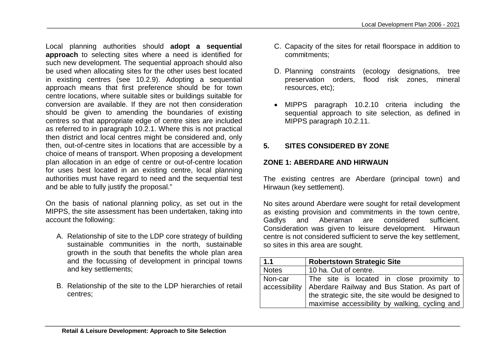Local planning authorities should **adopt a sequential approach** to selecting sites where a need is identified for such new development. The sequential approach should also be used when allocating sites for the other uses best located in existing centres (see 10.2.9). Adopting a sequential approach means that first preference should be for town centre locations, where suitable sites or buildings suitable for conversion are available. If they are not then consideration should be given to amending the boundaries of existing centres so that appropriate edge of centre sites are included as referred to in paragraph 10.2.1. Where this is not practical then district and local centres might be considered and, only then, out-of-centre sites in locations that are accessible by a choice of means of transport. When proposing a development plan allocation in an edge of centre or out-of-centre location for uses best located in an existing centre, local planning authorities must have regard to need and the sequential test and be able to fully justify the proposal."

On the basis of national planning policy, as set out in the MIPPS, the site assessment has been undertaken, taking into account the following:

- A. Relationship of site to the LDP core strategy of building sustainable communities in the north, sustainable growth in the south that benefits the whole plan area and the focussing of development in principal towns and key settlements;
- B. Relationship of the site to the LDP hierarchies of retail centres;
- C. Capacity of the sites for retail floorspace in addition to commitments;
- D. Planning constraints (ecology designations, tree preservation orders, flood risk zones, mineral resources, etc);
- MIPPS paragraph 10.2.10 criteria including the sequential approach to site selection, as defined in MIPPS paragraph 10.2.11.

# **5. SITES CONSIDERED BY ZONE**

#### **ZONE 1: ABERDARE AND HIRWAUN**

The existing centres are Aberdare (principal town) and Hirwaun (key settlement).

No sites around Aberdare were sought for retail development as existing provision and commitments in the town centre, Gadlys and Aberaman are considered sufficient. Consideration was given to leisure development. Hirwaun centre is not considered sufficient to serve the key settlement, so sites in this area are sought.

| 1.1          | <b>Robertstown Strategic Site</b>                            |
|--------------|--------------------------------------------------------------|
| <b>Notes</b> | 10 ha. Out of centre.                                        |
| Non-car      | The site is located in close proximity to                    |
|              | accessibility   Aberdare Railway and Bus Station. As part of |
|              | the strategic site, the site would be designed to            |
|              | maximise accessibility by walking, cycling and               |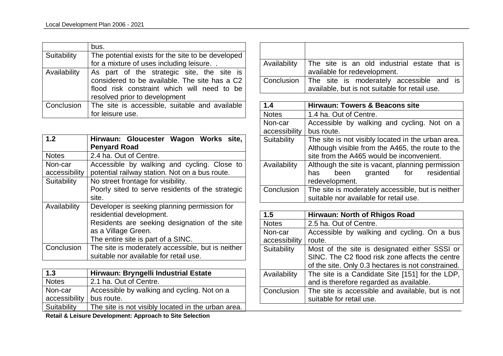|              | bus.                                                                                                                                                                        |
|--------------|-----------------------------------------------------------------------------------------------------------------------------------------------------------------------------|
| Suitability  | The potential exists for the site to be developed                                                                                                                           |
|              | for a mixture of uses including leisure                                                                                                                                     |
| Availability | As part of the strategic site, the site is<br>considered to be available. The site has a C2<br>flood risk constraint which will need to be<br>resolved prior to development |
|              | Conclusion   The site is accessible, suitable and available                                                                                                                 |
|              | for leisure use.                                                                                                                                                            |

| 1.2                      | Hirwaun: Gloucester Wagon Works site,<br><b>Penyard Road</b>                                                                                                                           |
|--------------------------|----------------------------------------------------------------------------------------------------------------------------------------------------------------------------------------|
| <b>Notes</b>             | 2.4 ha. Out of Centre.                                                                                                                                                                 |
| Non-car<br>accessibility | Accessible by walking and cycling. Close to<br>potential railway station. Not on a bus route.                                                                                          |
| Suitability              | No street frontage for visibility.<br>Poorly sited to serve residents of the strategic<br>site.                                                                                        |
| Availability             | Developer is seeking planning permission for<br>residential development.<br>Residents are seeking designation of the site<br>as a Village Green.<br>The entire site is part of a SINC. |
| Conclusion               | The site is moderately accessible, but is neither<br>suitable nor available for retail use.                                                                                            |

| $\vert$ 1.3   | Hirwaun: Bryngelli Industrial Estate               |
|---------------|----------------------------------------------------|
| Notes         | 2.1 ha. Out of Centre.                             |
| Non-car       | Accessible by walking and cycling. Not on a        |
| accessibility | bus route.                                         |
| Suitability   | The site is not visibly located in the urban area. |

|  | Retail & Leisure Development: Approach to Site Selection |  |
|--|----------------------------------------------------------|--|
|--|----------------------------------------------------------|--|

| Availability | The site is an old industrial estate that is        |
|--------------|-----------------------------------------------------|
|              | available for redevelopment.                        |
|              | Conclusion The site is moderately accessible and is |
|              | available, but is not suitable for retail use.      |

| 1.4           | <b>Hirwaun: Towers &amp; Beacons site</b>          |
|---------------|----------------------------------------------------|
| <b>Notes</b>  | 1.4 ha. Out of Centre.                             |
| Non-car       | Accessible by walking and cycling. Not on a        |
| accessibility | bus route.                                         |
| Suitability   | The site is not visibly located in the urban area. |
|               | Although visible from the A465, the route to the   |
|               | site from the A465 would be inconvenient.          |
| Availability  | Although the site is vacant, planning permission   |
|               | granted for residential<br>been<br>has             |
|               | redevelopment.                                     |
| Conclusion    | The site is moderately accessible, but is neither  |
|               | suitable nor available for retail use.             |

| 1.5           | Hirwaun: North of Rhigos Road                      |
|---------------|----------------------------------------------------|
| <b>Notes</b>  | 2.5 ha. Out of Centre.                             |
| Non-car       | Accessible by walking and cycling. On a bus        |
| accessibility | route.                                             |
| Suitability   | Most of the site is designated either SSSI or      |
|               | SINC. The C2 flood risk zone affects the centre    |
|               | of the site. Only 0.3 hectares is not constrained. |
| Availability  | The site is a Candidate Site [151] for the LDP,    |
|               | and is therefore regarded as available.            |
| Conclusion    | The site is accessible and available, but is not   |
|               | suitable for retail use.                           |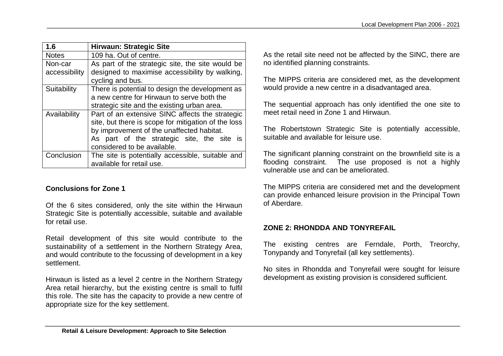| 1.6           | <b>Hirwaun: Strategic Site</b>                      |
|---------------|-----------------------------------------------------|
| <b>Notes</b>  | 109 ha. Out of centre.                              |
| Non-car       | As part of the strategic site, the site would be    |
| accessibility | designed to maximise accessibility by walking,      |
|               | cycling and bus.                                    |
| Suitability   | There is potential to design the development as     |
|               | a new centre for Hirwaun to serve both the          |
|               | strategic site and the existing urban area.         |
| Availability  | Part of an extensive SINC affects the strategic     |
|               | site, but there is scope for mitigation of the loss |
|               | by improvement of the unaffected habitat.           |
|               | As part of the strategic site, the site is          |
|               | considered to be available.                         |
| Conclusion    | The site is potentially accessible, suitable and    |
|               | available for retail use.                           |

#### **Conclusions for Zone 1**

Of the 6 sites considered, only the site within the Hirwaun Strategic Site is potentially accessible, suitable and available for retail use.

Retail development of this site would contribute to the sustainability of a settlement in the Northern Strategy Area, and would contribute to the focussing of development in a key settlement.

Hirwaun is listed as a level 2 centre in the Northern Strategy Area retail hierarchy, but the existing centre is small to fulfil this role. The site has the capacity to provide a new centre of appropriate size for the key settlement.

As the retail site need not be affected by the SINC, there are no identified planning constraints.

The MIPPS criteria are considered met, as the development would provide a new centre in a disadvantaged area.

The sequential approach has only identified the one site to meet retail need in Zone 1 and Hirwaun.

The Robertstown Strategic Site is potentially accessible, suitable and available for leisure use.

The significant planning constraint on the brownfield site is a flooding constraint. The use proposed is not a highly vulnerable use and can be ameliorated.

The MIPPS criteria are considered met and the development can provide enhanced leisure provision in the Principal Town of Aberdare.

#### **ZONE 2: RHONDDA AND TONYREFAIL**

The existing centres are Ferndale, Porth, Treorchy, Tonypandy and Tonyrefail (all key settlements).

No sites in Rhondda and Tonyrefail were sought for leisure development as existing provision is considered sufficient.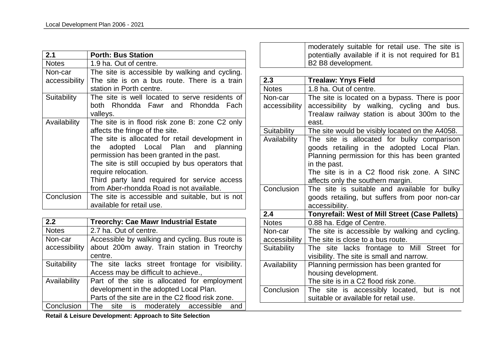| 2.1           | <b>Porth: Bus Station</b>                        |
|---------------|--------------------------------------------------|
| <b>Notes</b>  | 1.9 ha. Out of centre.                           |
| Non-car       | The site is accessible by walking and cycling.   |
| accessibility | The site is on a bus route. There is a train     |
|               | station in Porth centre.                         |
| Suitability   | The site is well located to serve residents of   |
|               | both Rhondda Fawr and Rhondda Fach               |
|               | valleys.                                         |
| Availability  | The site is in flood risk zone B: zone C2 only   |
|               | affects the fringe of the site.                  |
|               | The site is allocated for retail development in  |
|               | the adopted Local Plan and planning              |
|               | permission has been granted in the past.         |
|               | The site is still occupied by bus operators that |
|               | require relocation.                              |
|               | Third party land required for service access     |
|               | from Aber-rhondda Road is not available.         |
| Conclusion    | The site is accessible and suitable, but is not  |
|               | available for retail use.                        |

| 2.2           | <b>Treorchy: Cae Mawr Industrial Estate</b>      |
|---------------|--------------------------------------------------|
| <b>Notes</b>  | 2.7 ha. Out of centre.                           |
| Non-car       | Accessible by walking and cycling. Bus route is  |
| accessibility | about 200m away. Train station in Treorchy       |
|               | centre.                                          |
| Suitability   | The site lacks street frontage for visibility.   |
|               | Access may be difficult to achieve.,             |
| Availability  | Part of the site is allocated for employment     |
|               | development in the adopted Local Plan.           |
|               | Parts of the site are in the C2 flood risk zone. |
| Conclusion    | The site is moderately accessible<br>and         |

moderately suitable for retail use. The site is potentially available if it is not required for B1 B2 B8 development.

| 2.3                      | <b>Trealaw: Ynys Field</b>                                                                                                                                                                                                                    |
|--------------------------|-----------------------------------------------------------------------------------------------------------------------------------------------------------------------------------------------------------------------------------------------|
| <b>Notes</b>             | 1.8 ha. Out of centre.                                                                                                                                                                                                                        |
| Non-car<br>accessibility | The site is located on a bypass. There is poor<br>accessibility by walking, cycling and bus.<br>Trealaw railway station is about 300m to the<br>east.                                                                                         |
| Suitability              | The site would be visibly located on the A4058.                                                                                                                                                                                               |
| Availability             | The site is allocated for bulky comparison<br>goods retailing in the adopted Local Plan.<br>Planning permission for this has been granted<br>in the past.<br>The site is in a C2 flood risk zone. A SINC<br>affects only the southern margin. |
| Conclusion               | The site is suitable and available for bulky<br>goods retailing, but suffers from poor non-car<br>accessibility.                                                                                                                              |
| 2.4                      | <b>Tonyrefail: West of Mill Street (Case Pallets)</b>                                                                                                                                                                                         |
| <b>Notes</b>             | 0.88 ha. Edge of Centre.                                                                                                                                                                                                                      |
| Non-car<br>accessibility | The site is accessible by walking and cycling.<br>The site is close to a bus route.                                                                                                                                                           |
| Suitability              | The site lacks frontage to Mill Street for<br>visibility. The site is small and narrow.                                                                                                                                                       |
| Availability             | Planning permission has been granted for<br>housing development.<br>The site is in a C2 flood risk zone.                                                                                                                                      |
| Conclusion               | The site is accessibly located, but is<br>not<br>suitable or available for retail use.                                                                                                                                                        |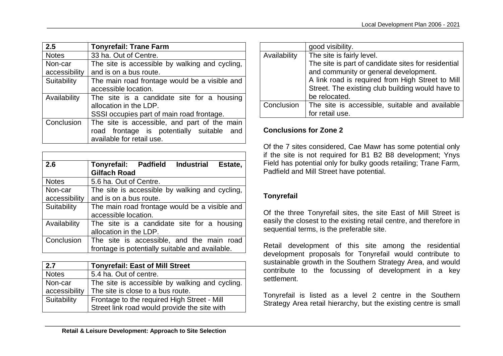| 2.5           | <b>Tonyrefail: Trane Farm</b>                  |
|---------------|------------------------------------------------|
| <b>Notes</b>  | 33 ha. Out of Centre.                          |
| Non-car       | The site is accessible by walking and cycling, |
| accessibility | and is on a bus route.                         |
| Suitability   | The main road frontage would be a visible and  |
|               | accessible location.                           |
| Availability  | The site is a candidate site for a housing     |
|               | allocation in the LDP.                         |
|               | SSSI occupies part of main road frontage.      |
| Conclusion    | The site is accessible, and part of the main   |
|               | road frontage is potentially suitable and      |
|               | available for retail use.                      |

| 2.6           | Tonyrefail: Padfield Industrial<br>Estate,      |
|---------------|-------------------------------------------------|
|               | <b>Gilfach Road</b>                             |
| <b>Notes</b>  | 5.6 ha. Out of Centre.                          |
| Non-car       | The site is accessible by walking and cycling,  |
| accessibility | and is on a bus route.                          |
| Suitability   | The main road frontage would be a visible and   |
|               | accessible location.                            |
| Availability  | The site is a candidate site for a housing      |
|               | allocation in the LDP.                          |
| Conclusion    | The site is accessible, and the main road       |
|               | frontage is potentially suitable and available. |

| 2.7           | <b>Tonyrefail: East of Mill Street</b>         |
|---------------|------------------------------------------------|
| <b>Notes</b>  | 5.4 ha. Out of centre.                         |
| Non-car       | The site is accessible by walking and cycling. |
| accessibility | The site is close to a bus route.              |
| Suitability   | Frontage to the required High Street - Mill    |
|               | Street link road would provide the site with   |

|              | good visibility.                                                                                                                                                                                                                  |
|--------------|-----------------------------------------------------------------------------------------------------------------------------------------------------------------------------------------------------------------------------------|
| Availability | The site is fairly level.<br>The site is part of candidate sites for residential<br>and community or general development.<br>A link road is required from High Street to Mill<br>Street. The existing club building would have to |
|              | be relocated.                                                                                                                                                                                                                     |
| Conclusion   | The site is accessible, suitable and available<br>for retail use.                                                                                                                                                                 |

#### **Conclusions for Zone 2**

Of the 7 sites considered, Cae Mawr has some potential only if the site is not required for B1 B2 B8 development; Ynys Field has potential only for bulky goods retailing; Trane Farm, Padfield and Mill Street have potential.

# **Tonyrefail**

Of the three Tonyrefail sites, the site East of Mill Street is easily the closest to the existing retail centre, and therefore in sequential terms, is the preferable site.

Retail development of this site among the residential development proposals for Tonyrefail would contribute to sustainable growth in the Southern Strategy Area, and would contribute to the focussing of development in a key settlement.

Tonyrefail is listed as a level 2 centre in the Southern Strategy Area retail hierarchy, but the existing centre is small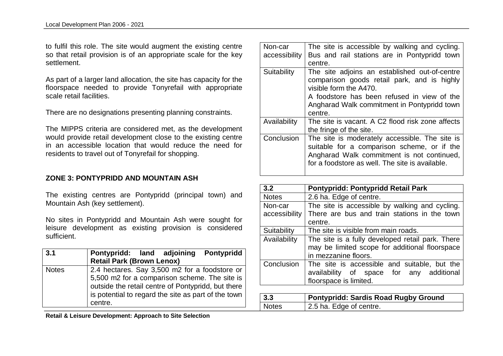to fulfil this role. The site would augment the existing centre so that retail provision is of an appropriate scale for the key settlement.

As part of a larger land allocation, the site has capacity for the floorspace needed to provide Tonyrefail with appropriate scale retail facilities.

There are no designations presenting planning constraints.

The MIPPS criteria are considered met, as the development would provide retail development close to the existing centre in an accessible location that would reduce the need for residents to travel out of Tonyrefail for shopping.

#### **ZONE 3: PONTYPRIDD AND MOUNTAIN ASH**

The existing centres are Pontypridd (principal town) and Mountain Ash (key settlement).

No sites in Pontypridd and Mountain Ash were sought for leisure development as existing provision is considered sufficient.

| 3.1          | <b>Pontypridd</b><br>Pontypridd: land adjoining<br><b>Retail Park (Brown Lenox)</b>                                                                                                                                    |
|--------------|------------------------------------------------------------------------------------------------------------------------------------------------------------------------------------------------------------------------|
| <b>Notes</b> | 2.4 hectares. Say 3,500 m2 for a foodstore or<br>5,500 m2 for a comparison scheme. The site is<br>outside the retail centre of Pontypridd, but there<br>is potential to regard the site as part of the town<br>centre. |

Non-car accessibility The site is accessible by walking and cycling. Bus and rail stations are in Pontypridd town centre. Suitability The site adjoins an established out-of-centre comparison goods retail park, and is highly visible form the A470. A foodstore has been refused in view of the Angharad Walk commitment in Pontypridd town centre. Availability  $\Box$  The site is vacant. A C2 flood risk zone affects the fringe of the site. Conclusion The site is moderately accessible. The site is suitable for a comparison scheme, or if the Angharad Walk commitment is not continued, for a foodstore as well. The site is available.

| 3.2           | Pontypridd: Pontypridd Retail Park                                                                                         |
|---------------|----------------------------------------------------------------------------------------------------------------------------|
| <b>Notes</b>  | 2.6 ha. Edge of centre.                                                                                                    |
| Non-car       | The site is accessible by walking and cycling.                                                                             |
| accessibility | There are bus and train stations in the town                                                                               |
|               | centre.                                                                                                                    |
| Suitability   | The site is visible from main roads.                                                                                       |
| Availability  | The site is a fully developed retail park. There<br>may be limited scope for additional floorspace<br>in mezzanine floors. |
| Conclusion    | The site is accessible and suitable, but the<br>availability of space for any additional<br>floorspace is limited.         |
|               |                                                                                                                            |

| $\vert 3.3 \vert$ | <b>Pontypridd: Sardis Road Rugby Ground</b> |
|-------------------|---------------------------------------------|
| Notes             | 2.5 ha. Edge of centre.                     |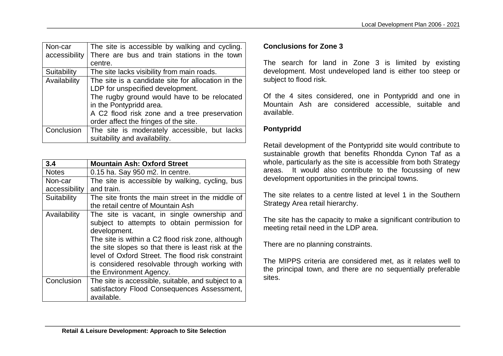| Non-car       | The site is accessible by walking and cycling.     |
|---------------|----------------------------------------------------|
| accessibility | There are bus and train stations in the town       |
|               | centre.                                            |
| Suitability   | The site lacks visibility from main roads.         |
| Availability  | The site is a candidate site for allocation in the |
|               | LDP for unspecified development.                   |
|               | The rugby ground would have to be relocated        |
|               | in the Pontypridd area.                            |
|               | A C2 flood risk zone and a tree preservation       |
|               | order affect the fringes of the site.              |
| Conclusion    | The site is moderately accessible, but lacks       |
|               | suitability and availability.                      |

| 3.4           | <b>Mountain Ash: Oxford Street</b>                                                                                                                                                                                                                                                                                                                      |
|---------------|---------------------------------------------------------------------------------------------------------------------------------------------------------------------------------------------------------------------------------------------------------------------------------------------------------------------------------------------------------|
| <b>Notes</b>  | 0.15 ha. Say 950 m2. In centre.                                                                                                                                                                                                                                                                                                                         |
| Non-car       | The site is accessible by walking, cycling, bus                                                                                                                                                                                                                                                                                                         |
| accessibility | and train.                                                                                                                                                                                                                                                                                                                                              |
| Suitability   | The site fronts the main street in the middle of<br>the retail centre of Mountain Ash                                                                                                                                                                                                                                                                   |
| Availability  | The site is vacant, in single ownership and<br>subject to attempts to obtain permission for<br>development.<br>The site is within a C2 flood risk zone, although<br>the site slopes so that there is least risk at the<br>level of Oxford Street. The flood risk constraint<br>is considered resolvable through working with<br>the Environment Agency. |
| Conclusion    | The site is accessible, suitable, and subject to a<br>satisfactory Flood Consequences Assessment,<br>available.                                                                                                                                                                                                                                         |

#### **Conclusions for Zone 3**

The search for land in Zone 3 is limited by existing development. Most undeveloped land is either too steep or subject to flood risk.

Of the 4 sites considered, one in Pontypridd and one in Mountain Ash are considered accessible, suitable and available.

#### **Pontypridd**

Retail development of the Pontypridd site would contribute to sustainable growth that benefits Rhondda Cynon Taf as a whole, particularly as the site is accessible from both Strategy areas. It would also contribute to the focussing of new development opportunities in the principal towns.

The site relates to a centre listed at level 1 in the Southern Strategy Area retail hierarchy.

The site has the capacity to make a significant contribution to meeting retail need in the LDP area.

There are no planning constraints.

The MIPPS criteria are considered met, as it relates well to the principal town, and there are no sequentially preferable sites.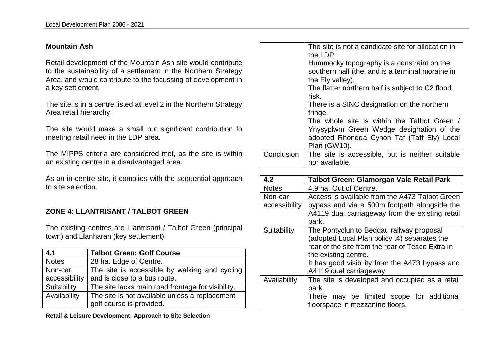#### **Mountain Ash**

Retail development of the Mountain Ash site would contribute to the sustainability of a settlement in the Northern Strategy Area, and would contribute to the focussing of development in a key settlement.

The site is in a centre listed at level 2 in the Northern Strategy Area retail hierarchy.

The site would make a small but significant contribution to meeting retail need in the LDP area.

The MIPPS criteria are considered met, as the site is within an existing centre in a disadvantaged area.

As an in-centre site, it complies with the sequential approach to site selection.

#### **ZONE 4: LLANTRISANT / TALBOT GREEN**

The existing centres are Llantrisant / Talbot Green (principal town) and Llanharan (key settlement).

| 4.1           | <b>Talbot Green: Golf Course</b>                  |
|---------------|---------------------------------------------------|
| <b>Notes</b>  | 28 ha. Edge of Centre.                            |
| Non-car       | The site is accessible by walking and cycling     |
| accessibility | and is close to a bus route.                      |
| Suitability   | The site lacks main road frontage for visibility. |
| Availability  | The site is not available unless a replacement    |
|               | golf course is provided.                          |

|            | The site is not a candidate site for allocation in<br>the LDP.<br>Hummocky topography is a constraint on the<br>southern half (the land is a terminal moraine in<br>the Ely valley).<br>The flatter northern half is subject to C2 flood<br>risk.<br>There is a SINC designation on the northern<br>fringe. |
|------------|-------------------------------------------------------------------------------------------------------------------------------------------------------------------------------------------------------------------------------------------------------------------------------------------------------------|
|            | The whole site is within the Talbot Green /<br>Ynysyplwm Green Wedge designation of the<br>adopted Rhondda Cynon Taf (Taff Ely) Local<br>Plan (GW10).                                                                                                                                                       |
| Conclusion | The site is accessible, but is neither suitable<br>nor available.                                                                                                                                                                                                                                           |

| 4.2                      | Talbot Green: Glamorgan Vale Retail Park                                                                                                                                                                                                           |
|--------------------------|----------------------------------------------------------------------------------------------------------------------------------------------------------------------------------------------------------------------------------------------------|
| <b>Notes</b>             | 4.9 ha. Out of Centre.                                                                                                                                                                                                                             |
| Non-car<br>accessibility | Access is available from the A473 Talbot Green<br>bypass and via a 500m footpath alongside the<br>A4119 dual carriageway from the existing retail<br>park.                                                                                         |
| Suitability              | The Pontyclun to Beddau railway proposal<br>(adopted Local Plan policy t4) separates the<br>rear of the site from the rear of Tesco Extra in<br>the existing centre.<br>It has good visibility from the A473 bypass and<br>A4119 dual carriageway. |
| Availability             | The site is developed and occupied as a retail<br>park.<br>may be limited scope for additional<br>There<br>floorspace in mezzanine floors.                                                                                                         |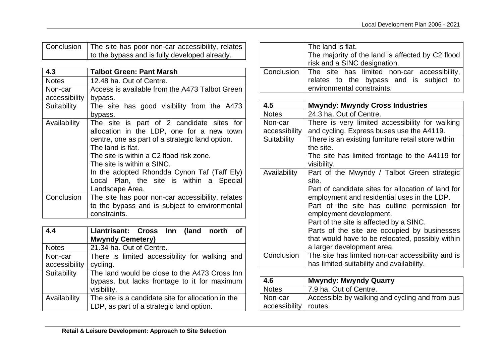| Conclusion   The site has poor non-car accessibility, relates |
|---------------------------------------------------------------|
| to the bypass and is fully developed already.                 |

| 4.3           | <b>Talbot Green: Pant Marsh</b>                                                                                                                                                                                                                                                                                                     |
|---------------|-------------------------------------------------------------------------------------------------------------------------------------------------------------------------------------------------------------------------------------------------------------------------------------------------------------------------------------|
| <b>Notes</b>  | 12.48 ha. Out of Centre.                                                                                                                                                                                                                                                                                                            |
| Non-car       | Access is available from the A473 Talbot Green                                                                                                                                                                                                                                                                                      |
| accessibility | bypass.                                                                                                                                                                                                                                                                                                                             |
| Suitability   | The site has good visibility from the A473                                                                                                                                                                                                                                                                                          |
|               | bypass.                                                                                                                                                                                                                                                                                                                             |
| Availability  | The site is part of 2 candidate sites for<br>allocation in the LDP, one for a new town<br>centre, one as part of a strategic land option.<br>The land is flat.<br>The site is within a C2 flood risk zone.<br>The site is within a SINC.<br>In the adopted Rhondda Cynon Taf (Taff Ely)<br>Local Plan, the site is within a Special |
|               | Landscape Area.                                                                                                                                                                                                                                                                                                                     |
| Conclusion    | The site has poor non-car accessibility, relates<br>to the bypass and is subject to environmental<br>constraints.                                                                                                                                                                                                                   |

| 4.4           | Llantrisant: Cross Inn (land north<br>of           |
|---------------|----------------------------------------------------|
|               | <b>Mwyndy Cemetery)</b>                            |
| <b>Notes</b>  | 21.34 ha. Out of Centre.                           |
| Non-car       | There is limited accessibility for walking and     |
| accessibility | cycling.                                           |
| Suitability   | The land would be close to the A473 Cross Inn      |
|               | bypass, but lacks frontage to it for maximum       |
|               | visibility.                                        |
| Availability  | The site is a candidate site for allocation in the |
|               | LDP, as part of a strategic land option.           |

| The land is flat.                                                                              |
|------------------------------------------------------------------------------------------------|
| The majority of the land is affected by C2 flood                                               |
| risk and a SINC designation.                                                                   |
| Conclusion The site has limited non-car accessibility, relates to the bypass and is subject to |
| environmental constraints.                                                                     |

| 4.5           | <b>Mwyndy: Mwyndy Cross Industries</b>                                                            |
|---------------|---------------------------------------------------------------------------------------------------|
| <b>Notes</b>  | 24.3 ha. Out of Centre.                                                                           |
| Non-car       | There is very limited accessibility for walking                                                   |
| accessibility | and cycling. Express buses use the A4119.                                                         |
| Suitability   | There is an existing furniture retail store within                                                |
|               | the site.                                                                                         |
|               | The site has limited frontage to the A4119 for<br>visibility.                                     |
| Availability  | Part of the Mwyndy / Talbot Green strategic<br>site.                                              |
|               | Part of candidate sites for allocation of land for<br>employment and residential uses in the LDP. |
|               | Part of the site has outline permission for<br>employment development.                            |
|               | Part of the site is affected by a SINC.                                                           |
|               | Parts of the site are occupied by businesses                                                      |
|               | that would have to be relocated, possibly within                                                  |
|               | a larger development area.                                                                        |
| Conclusion    | The site has limited non-car accessibility and is                                                 |
|               | has limited suitability and availability.                                                         |

| 4.6                     | <b>Mwyndy: Mwyndy Quarry</b>                   |
|-------------------------|------------------------------------------------|
| <b>Notes</b>            | 7.9 ha. Out of Centre.                         |
| Non-car                 | Accessible by walking and cycling and from bus |
| accessibility   routes. |                                                |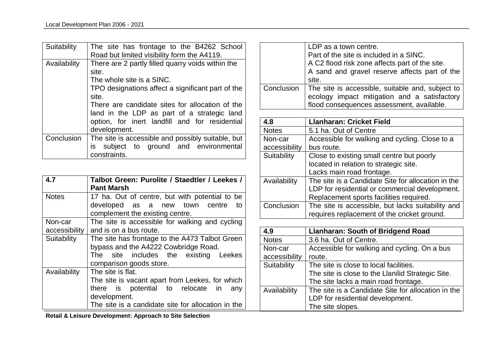| Suitability  | The site has frontage to the B4262 School<br>Road but limited visibility form the A4119.                                                                         |
|--------------|------------------------------------------------------------------------------------------------------------------------------------------------------------------|
| Availability | There are 2 partly filled quarry voids within the<br>site.<br>The whole site is a SINC.<br>TPO designations affect a significant part of the<br>site.            |
|              | There are candidate sites for allocation of the<br>land in the LDP as part of a strategic land<br>option, for inert landfill and for residential<br>development. |
| Conclusion   | The site is accessible and possibly suitable, but<br>subject to ground and environmental<br>is l<br>constraints.                                                 |

| 4.7           | Talbot Green: Purolite / Staedtler / Leekes /<br><b>Pant Marsh</b>                     |
|---------------|----------------------------------------------------------------------------------------|
| <b>Notes</b>  | 17 ha. Out of centre, but with potential to be<br>developed as a new town centre<br>to |
|               | complement the existing centre.                                                        |
| Non-car       | The site is accessible for walking and cycling                                         |
| accessibility | and is on a bus route.                                                                 |
| Suitability   | The site has frontage to the A473 Talbot Green                                         |
|               | bypass and the A4222 Cowbridge Road.                                                   |
|               | The site includes the existing Leekes                                                  |
|               | comparison goods store.                                                                |
| Availability  | The site is flat.                                                                      |
|               | The site is vacant apart from Leekes, for which                                        |
|               | there is potential to relocate in<br>any                                               |
|               | development.                                                                           |
|               | The site is a candidate site for allocation in the                                     |

LDP as a town centre. Part of the site is included in a SINC. A C2 flood risk zone affects part of the site. A sand and gravel reserve affects part of the site. Conclusion The site is accessible, suitable and, subject to ecology impact mitigation and a satisfactory flood consequences assessment, available.

| 4.8           | <b>Llanharan: Cricket Field</b>                    |
|---------------|----------------------------------------------------|
| <b>Notes</b>  | 5.1 ha. Out of Centre                              |
| Non-car       | Accessible for walking and cycling. Close to a     |
| accessibility | bus route.                                         |
| Suitability   | Close to existing small centre but poorly          |
|               | located in relation to strategic site.             |
|               | Lacks main road frontage.                          |
| Availability  | The site is a Candidate Site for allocation in the |
|               | LDP for residential or commercial development.     |
|               | Replacement sports facilities required.            |
| Conclusion    | The site is accessible, but lacks suitability and  |
|               | requires replacement of the cricket ground.        |

| 4.9           | <b>Llanharan: South of Bridgend Road</b>           |
|---------------|----------------------------------------------------|
| <b>Notes</b>  | 3.6 ha. Out of Centre.                             |
| Non-car       | Accessible for walking and cycling. On a bus       |
| accessibility | route.                                             |
| Suitability   | The site is close to local facilities.             |
|               | The site is close to the Llanilid Strategic Site.  |
|               | The site lacks a main road frontage.               |
| Availability  | The site is a Candidate Site for allocation in the |
|               | LDP for residential development.                   |
|               | The site slopes.                                   |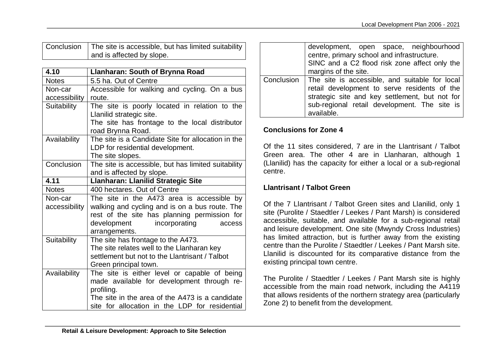Conclusion | The site is accessible, but has limited suitability and is affected by slope.

| 4.10          | <b>Llanharan: South of Brynna Road</b>              |
|---------------|-----------------------------------------------------|
| <b>Notes</b>  | 5.5 ha. Out of Centre                               |
| Non-car       | Accessible for walking and cycling. On a bus        |
| accessibility | route.                                              |
| Suitability   | The site is poorly located in relation to the       |
|               | Llanilid strategic site.                            |
|               | The site has frontage to the local distributor      |
|               | road Brynna Road.                                   |
| Availability  | The site is a Candidate Site for allocation in the  |
|               | LDP for residential development.                    |
|               | The site slopes.                                    |
| Conclusion    | The site is accessible, but has limited suitability |
|               | and is affected by slope.                           |
| 4.11          | Llanharan: Llanilid Strategic Site                  |
| <b>Notes</b>  | 400 hectares. Out of Centre                         |
| Non-car       | The site in the A473 area is accessible by          |
| accessibility | walking and cycling and is on a bus route. The      |
|               | rest of the site has planning permission for        |
|               | development incorporating<br>access                 |
|               | arrangements.                                       |
| Suitability   | The site has frontage to the A473.                  |
|               | The site relates well to the Llanharan key          |
|               | settlement but not to the Llantrisant / Talbot      |
|               | Green principal town.                               |
| Availability  | The site is either level or capable of being        |
|               | made available for development through re-          |
|               | profiling.                                          |
|               | The site in the area of the A473 is a candidate     |
|               | site for allocation in the LDP for residential      |

| development, open space, neighbourhood                      |
|-------------------------------------------------------------|
| centre, primary school and infrastructure.                  |
| SINC and a C2 flood risk zone affect only the               |
| margins of the site.                                        |
| Conclusion   The site is accessible, and suitable for local |
| retail development to serve residents of the                |
| strategic site and key settlement, but not for              |
| sub-regional retail development. The site is                |
| available.                                                  |

#### **Conclusions for Zone 4**

Of the 11 sites considered, 7 are in the Llantrisant / Talbot Green area. The other 4 are in Llanharan, although 1 (Llanilid) has the capacity for either a local or a sub-regional centre.

# **Llantrisant / Talbot Green**

Of the 7 Llantrisant / Talbot Green sites and Llanilid, only 1 site (Purolite / Staedtler / Leekes / Pant Marsh) is considered accessible, suitable, and available for a sub-regional retail and leisure development. One site (Mwyndy Cross Industries) has limited attraction, but is further away from the existing centre than the Purolite / Staedtler / Leekes / Pant Marsh site. Llanilid is discounted for its comparative distance from the existing principal town centre.

The Purolite / Staedtler / Leekes / Pant Marsh site is highly accessible from the main road network, including the A4119 that allows residents of the northern strategy area (particularly Zone 2) to benefit from the development.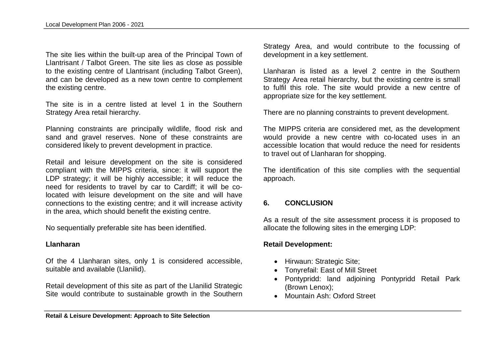The site lies within the built-up area of the Principal Town of Llantrisant / Talbot Green. The site lies as close as possible to the existing centre of Llantrisant (including Talbot Green), and can be developed as a new town centre to complement the existing centre.

The site is in a centre listed at level 1 in the Southern Strategy Area retail hierarchy.

Planning constraints are principally wildlife, flood risk and sand and gravel reserves. None of these constraints are considered likely to prevent development in practice.

Retail and leisure development on the site is considered compliant with the MIPPS criteria, since: it will support the LDP strategy; it will be highly accessible; it will reduce the need for residents to travel by car to Cardiff; it will be colocated with leisure development on the site and will have connections to the existing centre; and it will increase activity in the area, which should benefit the existing centre.

No sequentially preferable site has been identified.

#### **Llanharan**

Of the 4 Llanharan sites, only 1 is considered accessible, suitable and available (Llanilid).

Retail development of this site as part of the Llanilid Strategic Site would contribute to sustainable growth in the Southern Strategy Area, and would contribute to the focussing of development in a key settlement.

Llanharan is listed as a level 2 centre in the Southern Strategy Area retail hierarchy, but the existing centre is small to fulfil this role. The site would provide a new centre of appropriate size for the key settlement.

There are no planning constraints to prevent development.

The MIPPS criteria are considered met, as the development would provide a new centre with co-located uses in an accessible location that would reduce the need for residents to travel out of Llanharan for shopping.

The identification of this site complies with the sequential approach.

#### **6. CONCLUSION**

As a result of the site assessment process it is proposed to allocate the following sites in the emerging LDP:

#### **Retail Development:**

- Hirwaun: Strategic Site;
- Tonyrefail: East of Mill Street
- Pontypridd: land adjoining Pontypridd Retail Park (Brown Lenox);
- Mountain Ash: Oxford Street